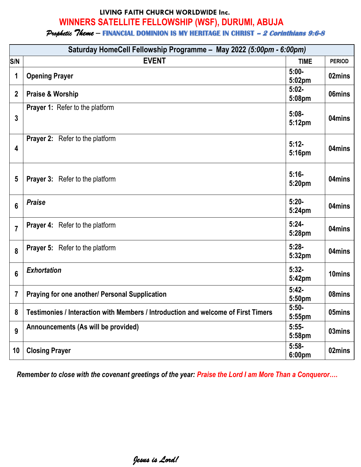# **LIVING FAITH CHURCH WORLDWIDE Inc. WINNERS SATELLITE FELLOWSHIP (WSF), DURUMI, ABUJA**

*Prophetic Theme –* **FINANCIAL DOMINION IS MY HERITAGE IN CHRIST – 2 Corinthians 9:6-8**

| Saturday HomeCell Fellowship Programme - May 2022 (5:00pm - 6:00pm) |                                                                                   |                               |               |
|---------------------------------------------------------------------|-----------------------------------------------------------------------------------|-------------------------------|---------------|
| S/N                                                                 | <b>EVENT</b>                                                                      | <b>TIME</b>                   | <b>PERIOD</b> |
| 1                                                                   | <b>Opening Prayer</b>                                                             | $5:00-$<br>5:02 <sub>pm</sub> | 02mins        |
| $\mathbf{2}$                                                        | <b>Praise &amp; Worship</b>                                                       | $5:02-$<br>5:08pm             | 06mins        |
| 3                                                                   | Prayer 1: Refer to the platform                                                   | $5:08 -$<br>5:12pm            | 04mins        |
| 4                                                                   | <b>Prayer 2:</b> Refer to the platform                                            | $5:12-$<br>5:16pm             | 04mins        |
| 5                                                                   | <b>Prayer 3:</b> Refer to the platform                                            | $5:16-$<br>5:20pm             | 04mins        |
| 6                                                                   | <b>Praise</b>                                                                     | $5:20-$<br>5:24pm             | 04mins        |
| $\overline{7}$                                                      | <b>Prayer 4:</b> Refer to the platform                                            | $5:24-$<br>5:28pm             | 04mins        |
| 8                                                                   | <b>Prayer 5:</b> Refer to the platform                                            | $5:28-$<br>5:32pm             | 04mins        |
| 6                                                                   | <b>Exhortation</b>                                                                | $5:32-$<br>5:42pm             | 10mins        |
| 7                                                                   | Praying for one another/ Personal Supplication                                    | $5:42-$<br>5:50pm             | 08mins        |
| 8                                                                   | Testimonies / Interaction with Members / Introduction and welcome of First Timers | $5:50-$<br>5:55pm             | 05mins        |
| 9                                                                   | Announcements (As will be provided)                                               | $5:55-$<br>5:58pm             | 03mins        |
| 10 <sup>°</sup>                                                     | <b>Closing Prayer</b>                                                             | $5:58-$<br>6:00pm             | 02mins        |

*Remember to close with the covenant greetings of the year: Praise the Lord I am More Than a Conqueror….*